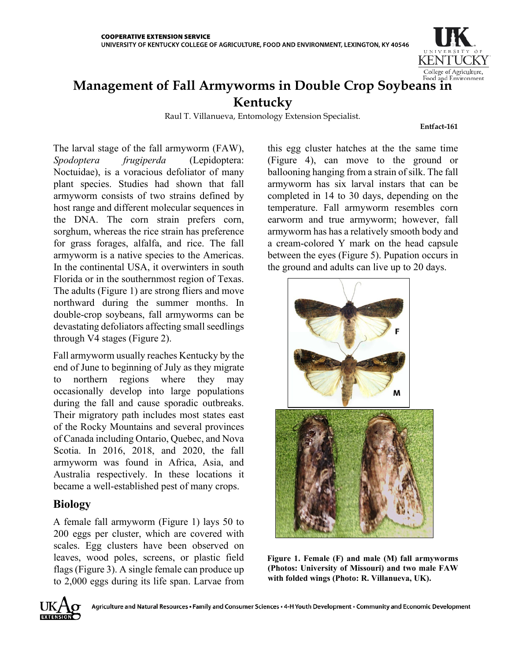

# **Management of Fall Armyworms in Double Crop Soybeans in Kentucky**

Raul T. Villanueva, Entomology Extension Specialist.

**Entfact-161**

The larval stage of the fall armyworm (FAW), *Spodoptera frugiperda* (Lepidoptera: Noctuidae), is a voracious defoliator of many plant species. Studies had shown that fall armyworm consists of two strains defined by host range and different molecular sequences in the DNA. The corn strain prefers corn, sorghum, whereas the rice strain has preference for grass forages, alfalfa, and rice. The fall armyworm is a native species to the Americas. In the continental USA, it overwinters in south Florida or in the southernmost region of Texas. The adults (Figure 1) are strong fliers and move northward during the summer months. In double-crop soybeans, fall armyworms can be devastating defoliators affecting small seedlings through V4 stages (Figure 2).

Fall armyworm usually reaches Kentucky by the end of June to beginning of July as they migrate to northern regions where they may occasionally develop into large populations during the fall and cause sporadic outbreaks. Their migratory path includes most states east of the Rocky Mountains and several provinces of Canada including Ontario, Quebec, and Nova Scotia. In 2016, 2018, and 2020, the fall armyworm was found in Africa, Asia, and Australia respectively. In these locations it became a well-established pest of many crops.

# **Biology**

A female fall armyworm (Figure 1) lays 50 to 200 eggs per cluster, which are covered with scales. Egg clusters have been observed on leaves, wood poles, screens, or plastic field flags (Figure 3). A single female can produce up to 2,000 eggs during its life span. Larvae from this egg cluster hatches at the the same time (Figure 4), can move to the ground or ballooning hanging from a strain of silk. The fall armyworm has six larval instars that can be completed in 14 to 30 days, depending on the temperature. Fall armyworm resembles corn earworm and true armyworm; however, fall armyworm has has a relatively smooth body and a cream-colored Y mark on the head capsule between the eyes (Figure 5). Pupation occurs in the ground and adults can live up to 20 days.



**Figure 1. Female (F) and male (M) fall armyworms (Photos: University of Missouri) and two male FAW with folded wings (Photo: R. Villanueva, UK).**

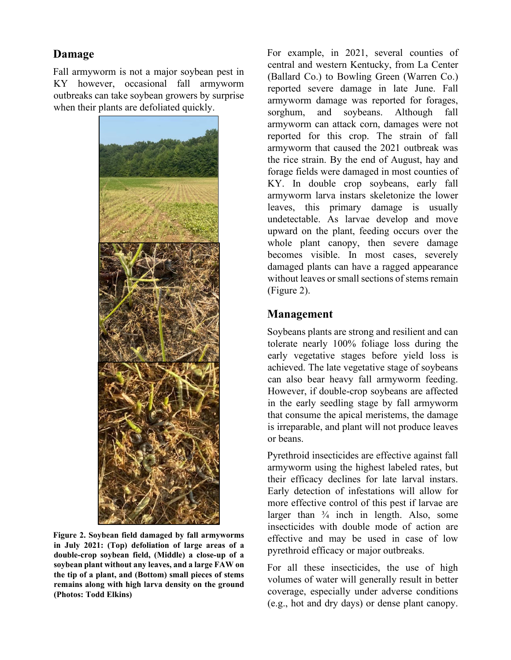## **Damage**

Fall armyworm is not a major soybean pest in KY however, occasional fall armyworm outbreaks can take soybean growers by surprise when their plants are defoliated quickly.



**Figure 2. Soybean field damaged by fall armyworms in July 2021: (Top) defoliation of large areas of a double-crop soybean field, (Middle) a close-up of a soybean plant without any leaves, and a large FAW on the tip of a plant, and (Bottom) small pieces of stems remains along with high larva density on the ground (Photos: Todd Elkins)**

For example, in 2021, several counties of central and western Kentucky, from La Center (Ballard Co.) to Bowling Green (Warren Co.) reported severe damage in late June. Fall armyworm damage was reported for forages, sorghum, and soybeans. Although fall armyworm can attack corn, damages were not reported for this crop. The strain of fall armyworm that caused the 2021 outbreak was the rice strain. By the end of August, hay and forage fields were damaged in most counties of KY. In double crop soybeans, early fall armyworm larva instars skeletonize the lower leaves, this primary damage is usually undetectable. As larvae develop and move upward on the plant, feeding occurs over the whole plant canopy, then severe damage becomes visible. In most cases, severely damaged plants can have a ragged appearance without leaves or small sections of stems remain (Figure 2).

#### **Management**

Soybeans plants are strong and resilient and can tolerate nearly 100% foliage loss during the early vegetative stages before yield loss is achieved. The late vegetative stage of soybeans can also bear heavy fall armyworm feeding. However, if double-crop soybeans are affected in the early seedling stage by fall armyworm that consume the apical meristems, the damage is irreparable, and plant will not produce leaves or beans.

Pyrethroid insecticides are effective against fall armyworm using the highest labeled rates, but their efficacy declines for late larval instars. Early detection of infestations will allow for more effective control of this pest if larvae are larger than  $\frac{3}{4}$  inch in length. Also, some insecticides with double mode of action are effective and may be used in case of low pyrethroid efficacy or major outbreaks.

For all these insecticides, the use of high volumes of water will generally result in better coverage, especially under adverse conditions (e.g., hot and dry days) or dense plant canopy.